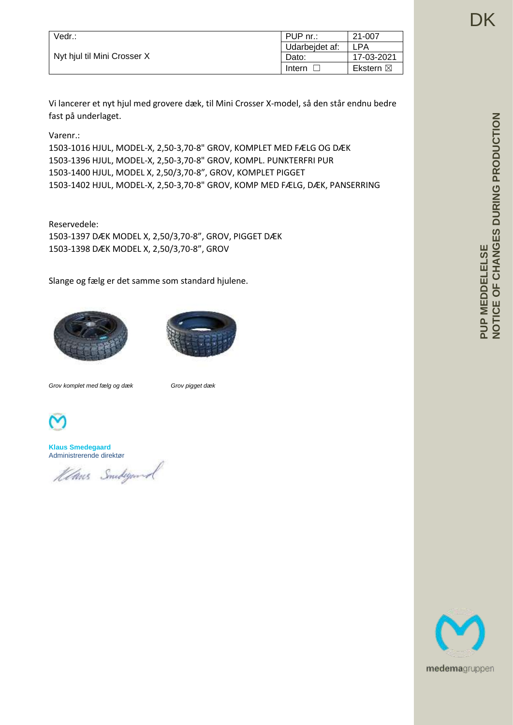| Vedr.:                      | PUP nr.:       | 21-007              |
|-----------------------------|----------------|---------------------|
| Nyt hjul til Mini Crosser X | Udarbeidet af: | LPA                 |
|                             | Dato:          | 17-03-2021          |
|                             | Intern         | Ekstern $\boxtimes$ |

Vi lancerer et nyt hjul med grovere dæk, til Mini Crosser X-model, så den står endnu bedre fast på underlaget.

Varenr.:

1503-1016 HJUL, MODEL-X, 2,50-3,70-8" GROV, KOMPLET MED FÆLG OG DÆK 1503-1396 HJUL, MODEL-X, 2,50-3,70-8" GROV, KOMPL. PUNKTERFRI PUR 1503-1400 HJUL, MODEL X, 2,50/3,70-8", GROV, KOMPLET PIGGET 1503-1402 HJUL, MODEL-X, 2,50-3,70-8" GROV, KOMP MED FÆLG, DÆK, PANSERRING

Reservedele: 1503-1397 DÆK MODEL X, 2,50/3,70-8", GROV, PIGGET DÆK 1503-1398 DÆK MODEL X, 2,50/3,70-8", GROV

Slange og fælg er det samme som standard hjulene.





*Grov komplet med fælg og dæk Grov pigget dæk*



**Klaus Smedegaard** Administrerende direktør

Klans Smideyard